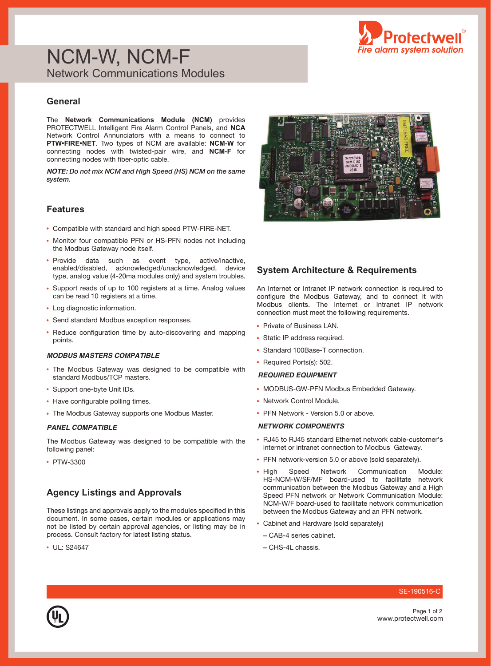

# NCM-W, NCM-F Network Communications Modules

# **General**

The **Network Communications Module (NCM)** provides PROTECTWELL Intelligent Fire Alarm Control Panels, and **NCA**  Network Control Annunciators with a means to connect to **PTW•FIRE•NET**. Two types of NCM are available: **NCM-W** for connecting nodes with twisted-pair wire, and **NCM-F** for connecting nodes with fiber-optic cable.

*NOTE:* Do not mix NCM and High Speed (HS) NCM on the same system.

### **Features**

- Compatible with standard and high speed PTW-FIRE-NET.
- Monitor four compatible PFN or HS-PFN nodes not including the Modbus Gateway node itself.
- Provide data such as event type, active/inactive, enabled/disabled, acknowledged/unacknowledged, device type, analog value (4-20ma modules only) and system troubles.
- Support reads of up to 100 registers at a time. Analog values can be read 10 registers at a time.
- Log diagnostic information.
- Send standard Modbus exception responses.
- Reduce configuration time by auto-discovering and mapping points.

#### *MODBUS MASTERS COMPATIBLE*

- The Modbus Gateway was designed to be compatible with standard Modbus/TCP masters.
- Support one-byte Unit IDs.
- Have configurable polling times.
- The Modbus Gateway supports one Modbus Master.

The Modbus Gateway was designed to be compatible with the following panel:

• PTW-3300

## **Agency Listings and Approvals**

These listings and approvals apply to the modules specified in this document. In some cases, certain modules or applications may not be listed by certain approval agencies, or listing may be in process. Consult factory for latest listing status.

• UL: S24647



## **System Architecture & Requirements**

An Internet or Intranet IP network connection is required to configure the Modbus Gateway, and to connect it with Modbus clients. The Internet or Intranet IP network connection must meet the following requirements.

- Private of Business LAN.
- Static IP address required.
- Standard 100Base-T connection.
- Required Ports(s): 502.

#### *REQUIRED EQUIPMENT*

- MODBUS-GW-PFN Modbus Embedded Gateway.
- Network Control Module.
- PFN Network Version 5.0 or above.

#### *PANEL COMPATIBLE NETWORK COMPONENTS*

- RJ45 to RJ45 standard Ethernet network cable-customer's internet or intranet connection to Modbus Gateway.
- PFN network-version 5.0 or above (sold separately).
- High Speed Network Communication Module: HS-NCM-W/SF/MF board-used to facilitate network communication between the Modbus Gateway and a High Speed PFN network or Network Communication Module: NCM-W/F board-used to facilitate network communication between the Modbus Gateway and an PFN network.
- Cabinet and Hardware (sold separately)
	- CAB-4 series cabinet.
	- **–** CHS-4L chassis.